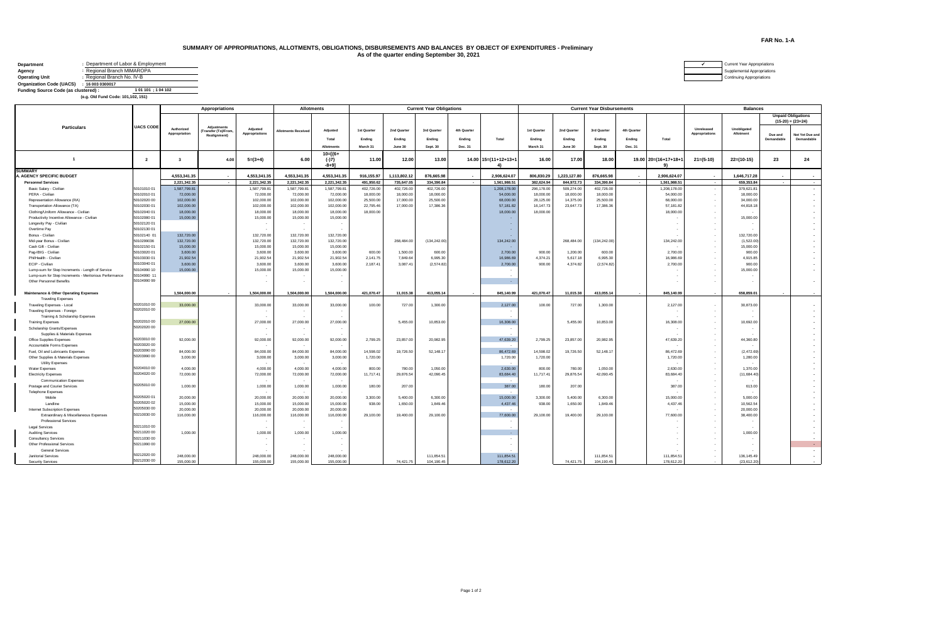## **SUMMARY OF APPROPRIATIONS, ALLOTMENTS, OBLIGATIONS, DISBURSEMENTS AND BALANCES BY OBJECT OF EXPENDITURES - Preliminary As of the quarter ending September 30, 2021**

| <b>Department</b>                    | : Department of Labor & Employment |  |
|--------------------------------------|------------------------------------|--|
| Agency                               | Regional Branch MIMAROPA           |  |
| <b>Operating Unit</b>                | Regional Branch No. IV-B           |  |
| <b>Organization Code (UACS)</b>      | : 160030300017                     |  |
| Funding Source Code (as clustered) : | 101 101 : 104 102                  |  |
|                                      | (e.g. Old Fund Code: 101,102, 151) |  |

|                                                           |                            | <b>Appropriations</b>       |                                                                 |                              | <b>Allotments</b><br><b>Current Year Obligations</b> |                                 |                                   |                                  |                                          |                                  |                              |                                   |                                  | <b>Current Year Disbursements</b> | <b>Balances</b>                  |                              |                              |                            |                       |                                                  |
|-----------------------------------------------------------|----------------------------|-----------------------------|-----------------------------------------------------------------|------------------------------|------------------------------------------------------|---------------------------------|-----------------------------------|----------------------------------|------------------------------------------|----------------------------------|------------------------------|-----------------------------------|----------------------------------|-----------------------------------|----------------------------------|------------------------------|------------------------------|----------------------------|-----------------------|--------------------------------------------------|
|                                                           |                            |                             |                                                                 |                              |                                                      |                                 |                                   |                                  |                                          |                                  |                              |                                   |                                  |                                   |                                  |                              |                              |                            |                       | <b>Unpaid Obligations</b><br>$(15-20) = (23+24)$ |
| <b>Particulars</b>                                        | <b>UACS CODE</b>           | Authorized<br>Appropriation | <b>Adjustments</b><br><b>Transfer (To)/From</b><br>Realignment) | Adjusted<br>Appropriations   | <b>Allotments Received</b>                           | Adjusted<br>Total<br>Allotments | 1st Quarter<br>Ending<br>March 31 | 2nd Quarter<br>Ending<br>June 30 | 3rd Quarter<br>Ending<br><b>Sept. 30</b> | 4th Quarter<br>Ending<br>Dec. 31 | Total                        | 1st Quarter<br>Ending<br>March 31 | 2nd Quarter<br>Ending<br>June 30 | 3rd Quarter<br>Ending<br>Sept. 30 | 4th Quarter<br>Ending<br>Dec. 31 | Total                        | Unreleased<br>Appropriations | Unobligated<br>Allotment   | Due and<br>Demandable | Not Yet Due and<br>Demandable                    |
| $\overline{1}$                                            | $\overline{2}$             | $\overline{\mathbf{3}}$     | 4.00                                                            | $5=(3+4)$                    | 6.00                                                 | $10 = 16 +$<br>$(-)7$<br>-8+91  | 11.00                             | 12.00                            | 13.00                                    |                                  | 14.00 15=(11+12+13+1<br>4)   | 16.00                             | 17.00                            | 18.00                             |                                  | 19.00 20=(16+17+18+1         | $21=(5-10)$                  | $22=(10-15)$               | 23                    | 24                                               |
| <b>SUMMARY</b>                                            |                            | 4.553.341.35                |                                                                 | 4.553.341.35                 |                                                      |                                 |                                   |                                  | 876.665.98                               |                                  |                              |                                   |                                  | 876.665.98                        |                                  |                              |                              |                            |                       |                                                  |
| A. AGENCY SPECIFIC BUDGET                                 |                            | 2,221,342.35                | $\sim$                                                          |                              | 4,553,341.35<br>2,221,342.35                         | 4,553,341.35                    | 916,155.97                        | 1,113,802.12                     |                                          | $\sim$                           | 2,906,624.07<br>1,561,988.51 | 806,830.29<br>382,624.94          | 1,223,127.80<br>844,972.73       |                                   | $\overline{a}$                   | 2.906.624.07                 | $\sim$                       | 1,646,717.28<br>659,353.84 | $\sim$                |                                                  |
| <b>Personnel Services</b><br>Basic Salary - Civilian      | 50101010 01                | 1,587,799.81                |                                                                 | 2,221,342.35<br>1,587,799.81 | 1,587,799.81                                         | 2,221,342.35<br>1,587,799.81    | 491,950.62<br>402,726.00          | 735,647.05                       | 334,390.84<br>402,726.00                 |                                  | 1,208,178.00                 | 296,178.00                        | 509,274.00                       | 334,390.84<br>402,726.00          |                                  | 1,561,988.51<br>1,208,178.00 |                              | 379,621.81                 |                       | $\sim$                                           |
| PERA - Civilian                                           | 50102010 01                | 72,000.00                   |                                                                 | 72,000.00                    | 72,000.00                                            | 72,000.00                       | 18,000.00                         | 402,726.00<br>18,000.00          | 18,000.00                                |                                  | 54,000.00                    | 18,000.00                         | 18,000.00                        | 18,000.00                         |                                  | 54,000.00                    | $\sim$<br>$\sim$             | 18,000.00                  |                       | $\sim$<br>$\cdot$                                |
| Representation Allowance (RA)                             | 50102020 00                | 102.000.00                  |                                                                 | 102.000.00                   | 102,000.00                                           | 102,000.00                      | 25,500.00                         | 17,000.00                        | 25,500.00                                |                                  | 68,000.00                    | 28,125.00                         | 14,375.00                        | 25,500.00                         |                                  | 68,000.00                    | $\sim$                       | 34,000.00                  |                       |                                                  |
| Transportation Allowance (TA)                             | 50102030 01                | 102.000.00                  |                                                                 | 102,000.00                   | 102,000.00                                           | 102,000.00                      | 22,795.46                         | 17,000.00                        | 17,386.36                                |                                  | 57,181.82                    | 16, 147, 73                       | 23,647.73                        | 17,386.36                         |                                  | 57,181.82                    | $\sim$                       | 44,818.18                  |                       |                                                  |
| Clothing/Uniform Allowance - Civilian                     | 50102040 01                | 18,000.00                   |                                                                 | 18,000.00                    | 18,000.00                                            | 18,000.00                       | 18,000.00                         |                                  |                                          |                                  | 18,000.00                    | 18,000.00                         |                                  |                                   |                                  | 18,000.00                    | $\sim$                       |                            |                       |                                                  |
| Productivity Incentive Allowance - Civilian               | 50102080 01                | 15,000.00                   |                                                                 | 15,000.00                    | 15,000.00                                            | 15,000.00                       |                                   |                                  |                                          |                                  | $\sim$                       |                                   |                                  |                                   |                                  |                              | $\sim$                       | 15,000.00                  |                       |                                                  |
| Longevity Pay - Civilian                                  | 50102120 01                |                             |                                                                 |                              |                                                      |                                 |                                   |                                  |                                          |                                  | <b>.</b>                     |                                   |                                  |                                   |                                  |                              | $\sim$                       |                            |                       |                                                  |
| Overtime Pay                                              | 50102130 01                |                             |                                                                 | $\sim$                       |                                                      |                                 |                                   |                                  |                                          |                                  | - 1                          |                                   |                                  |                                   |                                  |                              | $\sim$                       |                            |                       |                                                  |
| Bonus - Civilian                                          | 50102140 01                | 132,720.00                  |                                                                 | 132,720.00                   | 132,720.00                                           | 132,720.00                      |                                   |                                  |                                          |                                  |                              |                                   |                                  |                                   |                                  |                              | . н.                         | 132,720.00                 |                       |                                                  |
| Mid-year Bonus - Civilian                                 | 5010299036                 | 132,720.00                  |                                                                 | 132,720.00                   | 132.720.00                                           | 132,720.00                      |                                   | 268,484.00                       | (134, 242.00)                            |                                  | 134,242.00                   |                                   | 268,484.00                       | (134, 242.00)                     |                                  | 134.242.00                   | $\sim$                       | (1.522.00)                 |                       |                                                  |
| Cash Gift - Civilian                                      | 50102150 01                | 15,000.00                   |                                                                 | 15,000.00                    | 15,000.00                                            | 15,000.00                       |                                   |                                  |                                          |                                  |                              |                                   |                                  |                                   |                                  |                              | $\sim$                       | 15,000.00                  |                       |                                                  |
| Pag-IBIG - Civilian                                       | 50103020 01                | 3,600.00                    |                                                                 | 3,600.00                     | 3,600.00                                             | 3,600.00                        | 600.00                            | 1,500.00                         | 600.00                                   |                                  | 2,700.00                     | 900.00                            | 1,200.00                         | 600.00                            |                                  | 2,700.00                     | $\sim$                       | 900.00                     |                       |                                                  |
| PhilHealth - Civilian                                     | 50103030 01                | 21,902.54                   |                                                                 | 21,902.54                    | 21,902.54                                            | 21,902.54                       | 2,141.75                          | 7,849.64                         | 6,995.30                                 |                                  | 16,986.69                    | 4,374.21                          | 5,617.18                         | 6,995.30                          |                                  | 16,986.69                    | $\sim$                       | 4,915.85                   |                       |                                                  |
| ECIP - Civilian                                           | 50103040 01                | 3,600.00                    |                                                                 | 3,600.00                     | 3,600.00                                             | 3,600.00                        | 2,187.41                          | 3,087.41                         | (2,574.82)                               |                                  | 2,700.00                     | 900.00                            | 4,374.82                         | (2,574.82)                        |                                  | 2,700.00                     | $\sim$                       | 900.00                     |                       |                                                  |
| Lump-sum for Step Increments - Length of Service          | 50104990 10                | 15,000.00                   |                                                                 | 15,000.00                    | 15,000.00                                            | 15,000.00                       |                                   |                                  |                                          |                                  |                              |                                   |                                  |                                   |                                  |                              | $\sim$                       | 15,000.00                  |                       |                                                  |
| Lump-sum for Step Increments - Meritorious Performance    | 50104990 11                |                             |                                                                 |                              |                                                      |                                 |                                   |                                  |                                          |                                  |                              |                                   |                                  |                                   |                                  |                              |                              |                            |                       |                                                  |
| Other Personnel Benefits                                  | 50104990 99                |                             |                                                                 |                              |                                                      |                                 |                                   |                                  |                                          |                                  |                              |                                   |                                  |                                   |                                  |                              |                              |                            |                       |                                                  |
| Maintenance & Other Operating Expenses                    |                            | 1,504,000.00                |                                                                 | 1,504,000.00                 | 1,504,000.00                                         | 1,504,000.00                    | 421,070.47                        | 11,015.38                        | 413,055.14                               | $\sim$                           | 845,140.99                   | 421,070.47                        | 11,015.38                        | 413,055.14                        |                                  | 845,140.99                   | $\sim$                       | 658,859.01                 |                       |                                                  |
| <b>Traveling Expenses</b>                                 |                            |                             |                                                                 |                              |                                                      |                                 |                                   |                                  |                                          |                                  |                              |                                   |                                  |                                   |                                  |                              |                              |                            |                       |                                                  |
| Traveling Expenses - Local                                | 50201010 00<br>50202010 00 | 33,000.00                   |                                                                 | 33,000.00                    | 33,000.00                                            | 33,000.00                       | 100.00                            | 727.00                           | 1,300.00                                 |                                  | 2,127.00                     | 100.00                            | 727.00                           | 1,300.00                          |                                  | 2,127.00                     | $\sim$                       | 30,873.00                  |                       |                                                  |
| Traveling Expenses - Foreign                              |                            |                             |                                                                 |                              |                                                      |                                 |                                   |                                  |                                          |                                  |                              |                                   |                                  |                                   |                                  |                              | $\sim$                       |                            |                       |                                                  |
| Training & Scholarship Expenses                           | 50202010 00                |                             |                                                                 |                              |                                                      |                                 |                                   |                                  |                                          |                                  |                              |                                   |                                  |                                   |                                  |                              |                              |                            |                       |                                                  |
| <b>Training Expenses</b>                                  | 50202020 00                | 27,000.00                   |                                                                 | 27,000.00                    | 27,000.00                                            | 27,000.00                       |                                   | 5,455.00                         | 10,853.00                                |                                  | 16,308.00                    |                                   | 5,455.00                         | 10,853.00                         |                                  | 16,308.00                    | $\sim$                       | 10,692.00                  |                       |                                                  |
| Scholarship Grants/Expenses                               |                            |                             |                                                                 |                              |                                                      |                                 |                                   |                                  |                                          |                                  |                              |                                   |                                  |                                   |                                  |                              | $\sim$                       |                            |                       |                                                  |
| Supplies & Materials Expenses<br>Office Supplies Expenses | 50203010 00                | 92,000.00                   |                                                                 | 92,000.00                    | 92,000.00                                            | $\sim$<br>92,000.00             | 2,799.25                          | 23,857.00                        | 20,982.95                                |                                  | 47,639.20                    | 2,799.25                          | 23,857.00                        | 20,982.95                         |                                  | 47,639.20                    | . н.<br>$\sim$               | 44,360.80                  |                       |                                                  |
| Accountable Forms Expenses                                | 50203020 00                |                             |                                                                 |                              |                                                      |                                 |                                   |                                  |                                          |                                  |                              |                                   |                                  |                                   |                                  |                              |                              |                            |                       |                                                  |
| Fuel, Oil and Lubricants Expenses                         | 50203090 00                | 84,000.00                   |                                                                 | 84,000.00                    | 84,000.00                                            | 84,000.00                       | 14,598.02                         | 19,726.50                        | 52,148.17                                |                                  | 86,472.69                    | 14,598.02                         | 19,726.50                        | 52,148.17                         |                                  | 86,472.69                    | $\sim$                       | (2,472.69)                 |                       |                                                  |
| Other Supplies & Materials Expenses                       | 50203990 00                | 3,000.00                    |                                                                 | 3,000.00                     | 3,000.00                                             | 3,000.00                        | 1,720.00                          |                                  |                                          |                                  | 1,720.00                     | 1,720.00                          |                                  |                                   |                                  | 1,720.00                     | $\sim$                       | 1,280.00                   |                       |                                                  |
| Utility Expenses                                          |                            |                             |                                                                 |                              |                                                      |                                 |                                   |                                  |                                          |                                  |                              |                                   |                                  |                                   |                                  |                              | $\sim$                       |                            |                       |                                                  |
| Water Expenses                                            | 50204010 00                | 4,000.00                    |                                                                 | 4,000.00                     | 4,000.00                                             | 4,000.00                        | 800.00                            | 780.00                           | 1,050.00                                 |                                  | 2,630.00                     | 800.00                            | 780.00                           | 1,050.00                          |                                  | 2,630.00                     | $\sim$                       | 1,370.00                   |                       |                                                  |
| <b>Electricity Expenses</b>                               | 50204020 00                | 72,000.00                   |                                                                 | 72,000.00                    | 72,000.00                                            | 72,000.00                       | 11,717.41                         | 29,876.54                        | 42,090.45                                |                                  | 83,684.40                    | 11,717.41                         | 29,876.54                        | 42,090.45                         |                                  | 83,684.40                    |                              | (11,684.40)                |                       |                                                  |
| <b>Communication Expenses</b>                             |                            |                             |                                                                 |                              |                                                      |                                 |                                   |                                  |                                          |                                  |                              |                                   |                                  |                                   |                                  |                              | . н.                         |                            |                       |                                                  |
| Postage and Courier Services                              | 50205010 00                | 1,000.00                    |                                                                 | 1,000.00                     | 1,000.00                                             | 1,000.00                        | 180.00                            | 207.00                           |                                          |                                  | 387.00                       | 180.00                            | 207.00                           |                                   |                                  | 387.00                       | $\sim$                       | 613.00                     |                       |                                                  |
| <b>Telephone Expenses</b>                                 |                            |                             |                                                                 |                              |                                                      |                                 |                                   |                                  |                                          |                                  |                              |                                   |                                  |                                   |                                  |                              | $\sim$                       |                            |                       |                                                  |
| Mobile                                                    | 50205020 01                | 20,000.00                   |                                                                 | 20,000.00                    | 20,000.00                                            | 20,000.00                       | 3,300.00                          | 5,400.00                         | 6,300.00                                 |                                  | 15,000.00                    | 3,300.00                          | 5,400.00                         | 6,300.00                          |                                  | 15,000.00                    | $\sim$                       | 5,000.00                   |                       |                                                  |
| Landline                                                  | 50205020 02                | 15,000.00                   |                                                                 | 15,000.00                    | 15,000.00                                            | 15,000.00                       | 938.00                            | 1,650.00                         | 1,849.46                                 |                                  | 4,437.46                     | 938.00                            | 1,650.00                         | 1,849.46                          |                                  | 4,437.46                     | $\sim$                       | 10,562.54                  |                       |                                                  |
| <b>Internet Subscription Expenses</b>                     | 50205030 00                | 20,000.00                   |                                                                 | 20,000.00                    | 20,000.00                                            | 20,000.00                       |                                   |                                  |                                          |                                  |                              |                                   |                                  |                                   |                                  |                              | $\sim$                       | 20,000.00                  |                       |                                                  |
| Extraordinary & Miscellaneous Expenses                    | 50210030 00                | 116,000.00                  |                                                                 | 116,000.00                   | 116,000.00                                           | 116,000.00                      | 29,100.00                         | 19,400.00                        | 29,100.00                                |                                  | 77,600.00                    | 29,100.00                         | 19,400.00                        | 29,100.00                         |                                  | 77,600.00                    | $\sim$                       | 38,400.00                  |                       |                                                  |
| <b>Professional Services</b>                              |                            |                             |                                                                 | $\sim$                       |                                                      | $\sim$                          |                                   |                                  |                                          |                                  | ٠.                           |                                   |                                  |                                   |                                  |                              | $\sim$                       |                            |                       |                                                  |
| Legal Services                                            | 5021101000                 |                             |                                                                 |                              |                                                      |                                 |                                   |                                  |                                          |                                  |                              |                                   |                                  |                                   |                                  |                              |                              |                            |                       |                                                  |
| <b>Auditing Services</b>                                  | 50211020 00                | 1.000.00                    |                                                                 | 1.000.00                     | 1,000.00                                             | 1,000.00                        |                                   |                                  |                                          |                                  |                              |                                   |                                  |                                   |                                  |                              |                              | 1,000.00                   |                       |                                                  |
| <b>Consultancy Services</b>                               | 50211030 00                |                             |                                                                 |                              |                                                      | $\sim$                          |                                   |                                  |                                          |                                  | $\sim$                       |                                   |                                  |                                   |                                  |                              |                              | ٠.                         |                       | $\overline{\phantom{a}}$                         |
| Other Professional Services                               | 50211990 00                |                             |                                                                 |                              |                                                      | $\sim$                          |                                   |                                  |                                          |                                  |                              |                                   |                                  |                                   |                                  |                              |                              | ٠.                         |                       | $\sim$                                           |
| <b>General Services</b>                                   |                            |                             |                                                                 |                              |                                                      |                                 |                                   |                                  |                                          |                                  |                              |                                   |                                  |                                   |                                  |                              |                              |                            |                       | $\sim$                                           |
| Janitorial Services                                       | 50212020 00                | 248,000.00                  |                                                                 | 248,000.00                   | 248,000.00                                           | 248,000.00                      |                                   |                                  | 111,854.5                                |                                  | 111,854.51                   |                                   |                                  | 111,854.51                        |                                  | 111,854.51                   | $\sim$                       | 136,145.49                 |                       |                                                  |
| <b>Security Services</b>                                  | 50212030 00                | 155,000.00                  |                                                                 | 155,000.00                   | 155,000.00                                           | 155,000.00                      |                                   | 74.421.75                        | 104.190.45                               |                                  | 178,612.20                   |                                   | 74.421.75                        | 104.190.45                        |                                  | 178 612 20                   |                              | (23.612.20)                |                       |                                                  |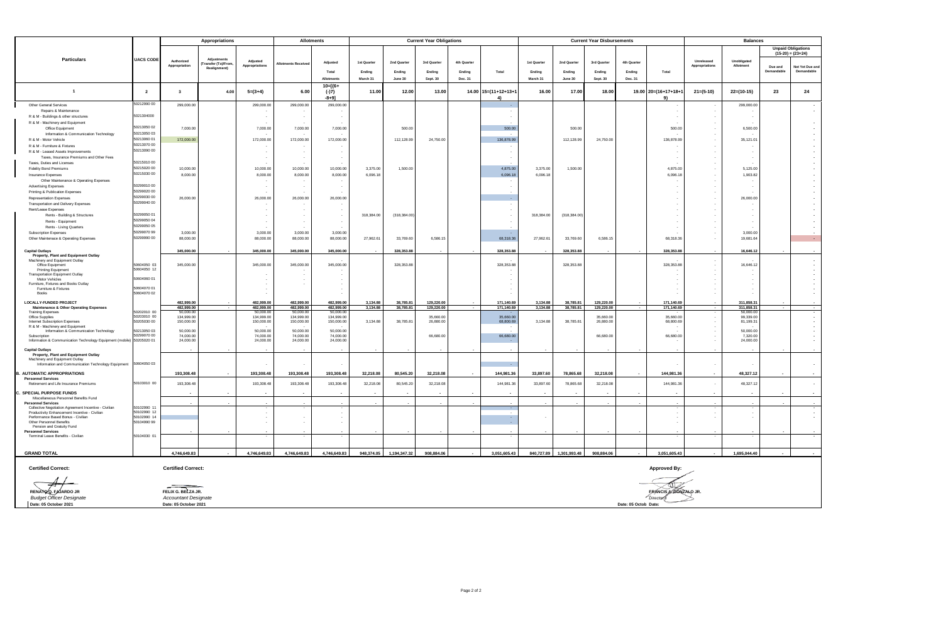|                                                                                      |                            | Appropriations              |                                          |                          | <b>Allotments</b>          |                                                      |                      |                         | <b>Current Year Obligations</b> |             |                                       |                      |                         | <b>Current Year Disbursements</b> |             | <b>Balances</b>               |                |                          |                       |                                    |
|--------------------------------------------------------------------------------------|----------------------------|-----------------------------|------------------------------------------|--------------------------|----------------------------|------------------------------------------------------|----------------------|-------------------------|---------------------------------|-------------|---------------------------------------|----------------------|-------------------------|-----------------------------------|-------------|-------------------------------|----------------|--------------------------|-----------------------|------------------------------------|
|                                                                                      |                            |                             |                                          |                          |                            |                                                      |                      |                         |                                 |             |                                       |                      |                         |                                   |             |                               |                |                          |                       | <b>Unpaid Obligations</b>          |
|                                                                                      |                            |                             |                                          |                          |                            |                                                      |                      |                         |                                 |             |                                       |                      |                         |                                   |             |                               |                |                          |                       | $(15-20) = (23+24)$                |
| <b>Particulars</b>                                                                   | <b>UACS CODE</b>           | Authorized                  | Adjustments<br><b>Transfer (To)/From</b> | Adjusted                 | <b>Allotments Received</b> | Adjusted                                             | 1st Quarter          | 2nd Quarter             | 3rd Quarter                     | 4th Quarter |                                       | 1st Quarter          | 2nd Quarter             | 3rd Quarter                       | 4th Quarter |                               | Unreleased     | Unobligated              |                       |                                    |
|                                                                                      |                            | Appropriation               | <b>Realignment</b> )                     | <b>Appropriations</b>    |                            | Total                                                |                      |                         |                                 |             | Total                                 |                      |                         |                                   |             |                               | Appropriations | Allotment                | Due and<br>Demandable | Not Yet Due and<br>Demandable      |
|                                                                                      |                            |                             |                                          |                          |                            |                                                      | Ending<br>March 31   | Ending                  | Ending<br>Sept. 30              | Ending      |                                       | Ending<br>March 31   | Ending                  | Ending<br>Sept. 30                | Ending      | Total                         |                |                          |                       |                                    |
|                                                                                      |                            |                             |                                          |                          |                            | Allotments                                           |                      | June 30                 |                                 | Dec. 31     |                                       |                      | June 30                 |                                   | Dec. 31     |                               |                |                          |                       |                                    |
| $\overline{1}$                                                                       | $\overline{2}$             | $\overline{\mathbf{3}}$     | 4.00                                     | $5=(3+4)$                | 6.00                       | $10 = [\{6 +$<br>$(-)7$<br>$-8 + 91$                 | 11.00                | 12.00                   | 13.00                           |             | $14.00$ $15=(11+12+13+7)$<br><b>4</b> | 16.00                | 17.00                   | 18.00                             | 19.00       | $20=(16+17+18+1)$<br>-91      | $21=(5-10)$    | $22=(10-15)$             | 23                    | 24                                 |
| Other General Services                                                               | 50212990 00                | 299,000.00                  |                                          | 299,000.00               | 299,000.00                 | 299,000.00                                           |                      |                         |                                 |             |                                       |                      |                         |                                   |             |                               |                | 299,000,00               |                       | $\sim$                             |
| Repairs & Maintenance                                                                | 5021304000                 |                             |                                          |                          |                            |                                                      |                      |                         |                                 |             |                                       |                      |                         |                                   |             |                               |                |                          |                       | $\overline{\phantom{a}}$           |
| R & M - Buildings & other structures                                                 |                            |                             |                                          |                          |                            |                                                      |                      |                         |                                 |             |                                       |                      |                         |                                   |             |                               |                |                          |                       | $\overline{\phantom{a}}$           |
| R & M - Machinery and Equipment<br>Office Equipment                                  | 50213050 02                | 7,000.00                    |                                          | 7,000.00                 | 7,000.00                   | 7,000.00                                             |                      | 500.00                  |                                 |             | 500.00                                |                      | 500.00                  |                                   |             | 500.00                        |                | 6,500.00                 |                       |                                    |
| Information & Communication Technology                                               | 50213050 03                |                             |                                          |                          |                            |                                                      |                      |                         |                                 |             |                                       |                      |                         |                                   |             |                               |                |                          |                       |                                    |
| R & M - Motor Vehicle                                                                | 50213060 01                | 172,000.00                  |                                          | 172,000.00               | 172,000.00                 | 172,000.00                                           |                      | 112,128.99              | 24,750.00                       |             | 136,878.99                            |                      | 112,128.99              | 24,750.00                         |             | 136,878.99                    |                | 35,121.01                |                       | $\sim$                             |
| R & M - Furniture & Fixtures                                                         | 50213070 00                |                             |                                          | $\sim$                   | $\overline{\phantom{a}}$   | $\sim$                                               |                      |                         |                                 |             |                                       |                      |                         |                                   |             |                               |                |                          |                       | $\overline{\phantom{a}}$           |
| R & M - Leased Assets Improvements                                                   | 50213090 00                |                             |                                          | $\sim$                   | $\sim$                     | $\sim$                                               |                      |                         |                                 |             |                                       |                      |                         |                                   |             |                               |                | $\sim$                   |                       |                                    |
| Taxes, Insurance Premiums and Other Fees                                             |                            |                             |                                          |                          |                            | $\sim$                                               |                      |                         |                                 |             |                                       |                      |                         |                                   |             |                               |                |                          |                       |                                    |
| Taxes, Duties and Licenses                                                           | 50215010 00                |                             |                                          |                          |                            |                                                      |                      |                         |                                 |             |                                       |                      |                         |                                   |             |                               |                |                          |                       |                                    |
| <b>Fidelity Bond Premiums</b>                                                        | 50215020 00                | 10,000.00                   |                                          | 10,000.00                | 10,000.00                  | 10,000.00                                            | 3,375.00             | 1,500.00                |                                 |             | 4.875.00                              | 3,375.00             | 1,500.00                |                                   |             | 4,875.00                      |                | 5,125.00                 |                       |                                    |
| Insurance Expenses                                                                   | 50215030 00                | 8,000.00                    |                                          | 8,000.00                 | 8,000.00                   | 8,000.00                                             | 6,096.18             |                         |                                 |             | 6,096.18                              | 6.096.18             |                         |                                   |             | 6,096.18                      |                | 1,903.82                 |                       |                                    |
| Other Maintenance & Operating Expenses                                               | 50299010 00                |                             |                                          |                          |                            | $\overline{\phantom{a}}$                             |                      |                         |                                 |             |                                       |                      |                         |                                   |             |                               |                |                          |                       |                                    |
| <b>Advertising Expenses</b><br>Printing & Publication Expenses                       | 50299020 00                |                             |                                          |                          |                            | $\overline{\phantom{a}}$<br>$\overline{\phantom{a}}$ |                      |                         |                                 |             |                                       |                      |                         |                                   |             |                               |                |                          |                       |                                    |
| <b>Representation Expenses</b>                                                       | 50299030 00                | 26,000.00                   |                                          | 26,000.00                | 26,000.00                  | 26,000.00                                            |                      |                         |                                 |             | ×.                                    |                      |                         |                                   |             |                               |                | 26,000.00                |                       |                                    |
| Transportation and Delivery Expenses                                                 | 50299040 00                |                             |                                          |                          |                            |                                                      |                      |                         |                                 |             |                                       |                      |                         |                                   |             |                               |                |                          |                       |                                    |
| Rent/Lease Expenses                                                                  |                            |                             |                                          |                          |                            |                                                      |                      |                         |                                 |             |                                       |                      |                         |                                   |             |                               |                |                          |                       |                                    |
| Rents - Building & Structures                                                        | 50299050 01                |                             |                                          |                          |                            |                                                      | 318,384.00           | (318, 384.00)           |                                 |             |                                       | 318,384.00           | (318.384.00)            |                                   |             |                               |                |                          |                       |                                    |
| Rents - Equipment                                                                    | 50299050 04                |                             |                                          |                          | $\overline{\phantom{a}}$   | $\overline{\phantom{a}}$                             |                      |                         |                                 |             |                                       |                      |                         |                                   |             |                               |                |                          |                       |                                    |
| Rents - Living Quarters                                                              | 50299050 05                |                             |                                          |                          |                            |                                                      |                      |                         |                                 |             |                                       |                      |                         |                                   |             |                               |                |                          |                       |                                    |
| Subscription Expenses                                                                | 50299070 99                | 3,000.00                    |                                          | 3,000.00                 | 3,000.00                   | 3,000.00                                             |                      |                         |                                 |             |                                       |                      |                         |                                   |             |                               |                | 3,000.00                 |                       |                                    |
| Other Maintenace & Operating Expenses                                                | 50299990 00                | 88,000.00                   |                                          | 88,000.00                | 88,000.00                  | 88,000.00                                            | 27.962.61            | 33,769.60               | 6,586.15                        |             | 68,318.36                             | 27.962.61            | 33,769.60               | 6,586.15                          |             | 68.318.36                     |                | 19,681.64                |                       | $\sim$                             |
|                                                                                      |                            |                             |                                          |                          |                            |                                                      |                      |                         |                                 |             |                                       |                      |                         |                                   |             |                               |                |                          |                       |                                    |
| <b>Capital Outlays</b><br>Property, Plant and Equipment Outlay                       |                            | 345,000.00                  |                                          | 345,000.00               | 345,000.00                 | 345,000.00                                           |                      | 328,353.88              |                                 |             | 328,353.88                            |                      | 328,353.88              |                                   |             | 328,353.88                    |                | 16,646.12                |                       |                                    |
| Machinery and Equipment Outlay                                                       |                            |                             |                                          |                          |                            |                                                      |                      |                         |                                 |             |                                       |                      |                         |                                   |             |                               |                |                          |                       |                                    |
| Office Equipment                                                                     | 50604050 03                | 345,000.00                  |                                          | 345,000.00               | 345,000.00                 | 345,000.00                                           |                      | 328,353.88              |                                 |             | 328,353.88                            |                      | 328,353.88              |                                   |             | 328, 353.88                   |                | 16,646.12                |                       | $\overline{a}$                     |
| Printing Equipment<br><b>Transportation Equipment Outlay</b>                         | 50604050 12                |                             |                                          |                          |                            |                                                      |                      |                         |                                 |             |                                       |                      |                         |                                   |             |                               |                |                          |                       | $\sim$<br>$\overline{\phantom{a}}$ |
| Motor Vehicles                                                                       | 50604060 01                |                             |                                          |                          |                            |                                                      |                      |                         |                                 |             |                                       |                      |                         |                                   |             |                               |                |                          |                       |                                    |
| Furniture, Fixtures and Books Outlay                                                 |                            |                             |                                          |                          |                            |                                                      |                      |                         |                                 |             |                                       |                      |                         |                                   |             |                               |                |                          |                       |                                    |
| Furniture & Fixtures<br>Books                                                        | 50604070 01<br>50604070 02 |                             |                                          |                          |                            |                                                      |                      |                         |                                 |             |                                       |                      |                         |                                   |             |                               |                |                          |                       |                                    |
|                                                                                      |                            |                             |                                          |                          |                            |                                                      |                      |                         |                                 |             |                                       |                      |                         |                                   |             |                               |                |                          |                       |                                    |
| LOCALLY-FUNDED PROJECT<br>Maintenance & Other Operating Expenses                     |                            | 482,999.00<br>482,999.00    | $\overline{\phantom{a}}$                 | 482,999.00<br>482,999.00 | 482,999.00<br>482,999.00   | 482,999.00<br>482,999.00                             | 3,134.88<br>3,134.88 | 38.785.81<br>38,785.81  | 129,220.00<br>129,220.00        | $\sim$      | 171,140.69<br>171,140.69              | 3,134.88<br>3,134.88 | 38,785.81<br>38,785.81  | 129,220.00<br>129,220.00          |             | 171.140.69<br>171,140.69      |                | 311,858.31<br>311,858.31 |                       |                                    |
| <b>Training Expenses</b>                                                             | 50202010 00                | 50,000.00                   |                                          | 50,000,00                | 50,000.00                  | 50,000.00                                            |                      |                         |                                 |             |                                       |                      |                         |                                   |             |                               |                | 50,000.00                |                       |                                    |
| Office Supplies                                                                      | 50203010 00                | 134,999.00                  |                                          | 134,999.00               | 134,999.00                 | 134,999.00                                           |                      |                         | 35,660.00                       |             | 35,660.00                             |                      |                         | 35,660.00                         |             | 35,660.00                     |                | 99,339.00                |                       |                                    |
| Internet Subscription Expenses<br>R & M - Machinery and Equipment                    | 50205030 00                | 150,000.00                  |                                          | 150,000,00               | 150,000.00                 | 150,000.00                                           | 3,134.88             | 38,785.81               | 26,880.00                       |             | 68,800.69                             | 3.134.88             | 38,785.81               | 26,880.00                         |             | 68,800.69                     |                | 81.199.31                |                       |                                    |
| Information & Communication Technology                                               | 50213050 03                | 50,000.00                   |                                          | 50,000.00                | 50,000.00                  | 50,000.00                                            |                      |                         |                                 |             |                                       |                      |                         |                                   |             |                               |                | 50,000.00                |                       | $\overline{\phantom{a}}$           |
| Subscription                                                                         | 50299070 00                | 74.000.00                   |                                          | 74,000.00                | 74,000.00                  | 74.000.00                                            |                      |                         | 66,680.00                       |             | 66,680.00                             |                      |                         | 66,680.00                         |             | 66,680.00                     |                | 7,320.00                 |                       |                                    |
| Information & Communication Technology Equipment (mobile) 50205020 01                |                            | 24,000.00                   |                                          | 24,000.00                | 24,000.00                  | 24,000.00                                            |                      |                         |                                 |             |                                       |                      |                         |                                   |             |                               |                | 24,000.00                |                       | $\overline{\phantom{a}}$           |
| <b>Capital Outlays</b>                                                               |                            |                             |                                          |                          |                            |                                                      |                      |                         |                                 |             |                                       |                      |                         |                                   |             |                               |                |                          |                       |                                    |
| Property, Plant and Equipment Outlay                                                 |                            |                             |                                          |                          |                            |                                                      |                      |                         |                                 |             |                                       |                      |                         |                                   |             |                               |                |                          |                       |                                    |
| Machinery and Equipment Outlay<br>Information and Communication Technology Equipment | 50604050 03                |                             |                                          |                          |                            |                                                      |                      |                         |                                 |             |                                       |                      |                         |                                   |             |                               |                |                          |                       | $\overline{\phantom{a}}$           |
|                                                                                      |                            |                             |                                          |                          |                            |                                                      |                      |                         |                                 |             |                                       |                      |                         |                                   |             |                               |                |                          |                       |                                    |
| . AUTOMATIC APPROPRIATIONS<br><b>Personnel Services</b>                              |                            | 193,308.48                  |                                          | 193,308.48               | 193,308.48                 | 193,308.48                                           | 32,218.08            | 80,545.20               | 32,218.08                       |             | 144,981.36                            | 33,897.60            | 78,865.68               | 32,218.08                         |             | 144,981.36                    |                | 48,327.12                |                       |                                    |
| Retirement and Life Insurance Premiums                                               | 50103010 00                | 193,308.48                  |                                          | 193,308.48               | 193,308.48                 | 193,308.48                                           | 32,218.08            | 80,545.20               | 32.218.08                       |             | 144,981.36                            | 33,897.60            | 78,865.68               | 32,218.08                         |             | 144.981.36                    |                | 48,327.12                |                       | $\overline{\phantom{a}}$           |
|                                                                                      |                            |                             |                                          |                          |                            |                                                      |                      |                         |                                 |             |                                       |                      |                         |                                   |             |                               |                |                          |                       |                                    |
| . SPECIAL PURPOSE FUNDS<br>Miscellaneous Personnel Benefits Fund                     |                            |                             |                                          |                          |                            |                                                      |                      |                         |                                 |             |                                       |                      |                         |                                   |             |                               |                |                          |                       |                                    |
| <b>Personnel Services</b>                                                            |                            |                             |                                          |                          |                            |                                                      |                      |                         |                                 |             |                                       |                      |                         |                                   |             |                               |                |                          |                       |                                    |
| Collective Negotiation Agreement Incentive - Civilian                                | 50102990 11                |                             |                                          |                          |                            |                                                      |                      |                         |                                 |             |                                       |                      |                         |                                   |             |                               |                |                          |                       |                                    |
| Productivity Enhancement Incentive - Civilian<br>Performance Based Bonus - Civilian  | 50102990 12<br>50102990 14 |                             |                                          |                          | $\overline{\phantom{a}}$   | $\overline{\phantom{a}}$                             |                      |                         |                                 |             | $\sim$                                |                      |                         |                                   |             |                               |                |                          |                       |                                    |
| Other Personnel Benefits                                                             | 50104990 99                |                             |                                          |                          |                            |                                                      |                      |                         |                                 |             |                                       |                      |                         |                                   |             |                               |                |                          |                       |                                    |
| Pension and Gratuity Fund                                                            |                            |                             |                                          |                          |                            |                                                      |                      |                         |                                 |             |                                       |                      |                         |                                   |             |                               |                |                          |                       |                                    |
| <b>Personnel Services</b><br>Terminal Leave Benefits - Civilian                      | 50104030 01                |                             |                                          |                          | $\sim$                     | $\sim$                                               |                      |                         |                                 |             |                                       |                      |                         |                                   |             |                               |                |                          |                       |                                    |
|                                                                                      |                            |                             |                                          |                          |                            |                                                      |                      |                         |                                 |             |                                       |                      |                         |                                   |             |                               |                |                          |                       |                                    |
|                                                                                      |                            |                             |                                          |                          |                            |                                                      |                      |                         |                                 |             |                                       |                      |                         |                                   |             |                               |                |                          |                       |                                    |
| <b>GRAND TOTAL</b>                                                                   |                            | 4,746,649.83                |                                          | 4,746,649.83             | 4,746,649.83               | 4,746,649.83                                         |                      | 948,374.05 1,194,347.32 | 908,884.06                      | $\sim$      | 3,051,605.43                          |                      | 840,727.89 1,301,993.48 | 908,884.06                        | $\sim$      | 3,051,605.43                  |                | 1,695,044.40             |                       |                                    |
|                                                                                      |                            |                             |                                          |                          |                            |                                                      |                      |                         |                                 |             |                                       |                      |                         |                                   |             |                               |                |                          |                       |                                    |
| <b>Certified Correct:</b>                                                            |                            | <b>Certified Correct:</b>   |                                          |                          |                            |                                                      |                      |                         |                                 |             |                                       |                      |                         |                                   |             | <b>Approved By:</b>           |                |                          |                       |                                    |
|                                                                                      |                            |                             |                                          |                          |                            |                                                      |                      |                         |                                 |             |                                       |                      |                         |                                   |             |                               |                |                          |                       |                                    |
|                                                                                      |                            |                             |                                          |                          |                            |                                                      |                      |                         |                                 |             |                                       |                      |                         |                                   |             |                               |                |                          |                       |                                    |
|                                                                                      |                            |                             |                                          |                          |                            |                                                      |                      |                         |                                 |             |                                       |                      |                         |                                   |             | D                             |                |                          |                       |                                    |
| RENATO Q. EAJARDO JR                                                                 |                            | FELIX G. BELZA JR.          |                                          |                          |                            |                                                      |                      |                         |                                 |             |                                       |                      |                         |                                   |             | <b>FRANCIS A. GONZALO JR.</b> |                |                          |                       |                                    |
| <b>Budget Officer Designate</b>                                                      |                            | <b>Accountant Designate</b> |                                          |                          |                            |                                                      |                      |                         |                                 |             |                                       |                      |                         |                                   |             | Director II                   |                |                          |                       |                                    |

**Date: 05 October 2021 Date: 05 October 2021 Date: 05 October 2021 Date:**